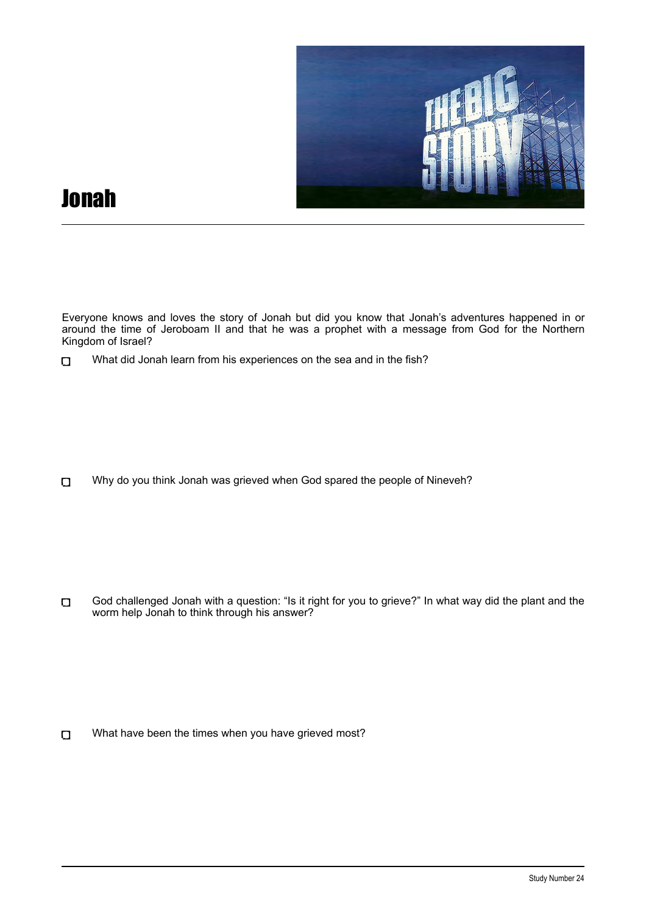

## Jonah

Everyone knows and loves the story of Jonah but did you know that Jonah's adventures happened in or around the time of Jeroboam II and that he was a prophet with a message from God for the Northern Kingdom of Israel?

Why do you think Jonah was grieved when God spared the people of Nineveh?  $\Box$ 

God challenged Jonah with a question: "Is it right for you to grieve?" In what way did the plant and the  $\Box$ worm help Jonah to think through his answer?

 $\Box$ What have been the times when you have grieved most?

What did Jonah learn from his experiences on the sea and in the fish?  $\Box$